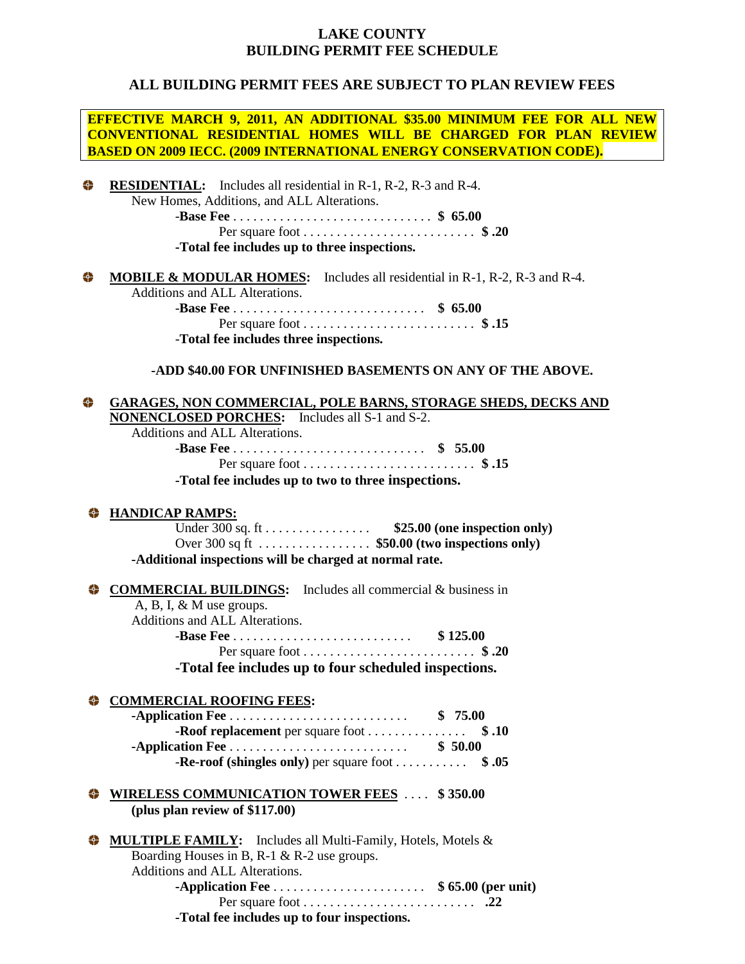## **LAKE COUNTY BUILDING PERMIT FEE SCHEDULE**

### **ALL BUILDING PERMIT FEES ARE SUBJECT TO PLAN REVIEW FEES**

**EFFECTIVE MARCH 9, 2011, AN ADDITIONAL \$35.00 MINIMUM FEE FOR ALL NEW CONVENTIONAL RESIDENTIAL HOMES WILL BE CHARGED FOR PLAN REVIEW BASED ON 2009 IECC. (2009 INTERNATIONAL ENERGY CONSERVATION CODE).**

### 叠 **RESIDENTIAL:** Includes all residential in R-1, R-2, R-3 and R-4. New Homes, Additions, and ALL Alterations.

-**Base Fee** . . . . . . . . . . . . . . . . . . . . . . . . . . . . . . **\$ 65.00** Per square foot . . . . . . . . . . . . . . . . . . . . . . . . . . **\$ .20**

**-Total fee includes up to three inspections.**

#### ₩ **MOBILE & MODULAR HOMES:** Includes all residential in R-1, R-2, R-3 and R-4.

Additions and ALL Alterations.

-**Base Fee** . . . . . . . . . . . . . . . . . . . . . . . . . . . . . **\$ 65.00** Per square foot . . . . . . . . . . . . . . . . . . . . . . . . . . **\$ .15** -**Total fee includes three inspections.**

**-ADD \$40.00 FOR UNFINISHED BASEMENTS ON ANY OF THE ABOVE.**

### ₩ **GARAGES, NON COMMERCIAL, POLE BARNS, STORAGE SHEDS, DECKS AND**

**NONENCLOSED PORCHES:** Includes all S-1 and S-2.

Additions and ALL Alterations.

| -Total fee includes up to two to three inspections. |  |  |  |  |  |  |
|-----------------------------------------------------|--|--|--|--|--|--|

### **HANDICAP RAMPS:**

Under 300 sq. ft . . . . . . . . . . . . . . . . **\$25.00 (one inspection only)** Over 300 sq ft . . . . . . . . . . . . . . . . . **\$50.00 (two inspections only) -Additional inspections will be charged at normal rate.**

### **COMMERCIAL BUILDINGS:** Includes all commercial & business in

A, B, I, & M use groups. Additions and ALL Alterations. -**Base Fee** . . . . . . . . . . . . . . . . . . . . . . . . . . . **\$ 125.00** Per square foot . . . . . . . . . . . . . . . . . . . . . . . . . . **\$ .20 -Total fee includes up to four scheduled inspections.**

### **COMMERCIAL ROOFING FEES:**

|                                                                          | \$75.00 |
|--------------------------------------------------------------------------|---------|
| <b>-Roof replacement</b> per square foot $\dots \dots \dots \dots$ \$.10 |         |
|                                                                          | \$50.00 |
| -Re-roof (shingles only) per square foot $\dots \dots$ \$.05             |         |

### **WIRELESS COMMUNICATION TOWER FEES** .... \$350.00 **(plus plan review of \$117.00)**

| MULTIPLE FAMILY: Includes all Multi-Family, Hotels, Motels & |  |  |  |
|--------------------------------------------------------------|--|--|--|
| Boarding Houses in B, R-1 & R-2 use groups.                  |  |  |  |
| Additions and ALL Alterations.                               |  |  |  |
|                                                              |  |  |  |
|                                                              |  |  |  |
| -Total fee includes up to four inspections.                  |  |  |  |